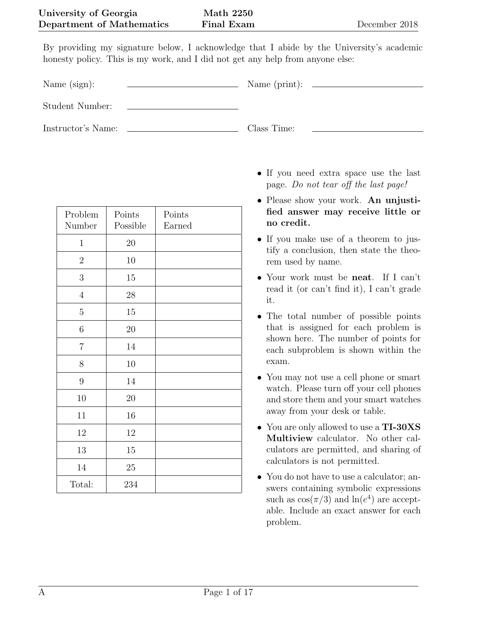By providing my signature below, I acknowledge that I abide by the University's academic honesty policy. This is my work, and I did not get any help from anyone else:

Name (sign): Name (print):

Student Number:

Instructor's Name: Class Time:

| Problem<br>Number | Points<br>Possible | Points<br>Earned |
|-------------------|--------------------|------------------|
| $\mathbf 1$       | $20\,$             |                  |
| $\overline{2}$    | 10                 |                  |
| 3                 | 15                 |                  |
| $\overline{4}$    | 28                 |                  |
| $\overline{5}$    | 15                 |                  |
| $\,6$             | 20                 |                  |
| $\overline{7}$    | 14                 |                  |
| $8\,$             | 10                 |                  |
| $\boldsymbol{9}$  | 14                 |                  |
| 10                | 20                 |                  |
| 11                | 16                 |                  |
| $12\,$            | $12\,$             |                  |
| 13                | 15                 |                  |
| $14\,$            | 25                 |                  |
| Total:            | 234                |                  |

- If you need extra space use the last page. Do not tear off the last page!
- Please show your work. An unjustified answer may receive little or no credit.
- If you make use of a theorem to justify a conclusion, then state the theorem used by name.
- Your work must be **neat**. If I can't read it (or can't find it), I can't grade it.
- The total number of possible points that is assigned for each problem is shown here. The number of points for each subproblem is shown within the exam.
- You may not use a cell phone or smart watch. Please turn off your cell phones and store them and your smart watches away from your desk or table.
- You are only allowed to use a TI-30XS Multiview calculator. No other calculators are permitted, and sharing of calculators is not permitted.
- You do not have to use a calculator; answers containing symbolic expressions such as  $\cos(\pi/3)$  and  $\ln(e^4)$  are acceptable. Include an exact answer for each problem.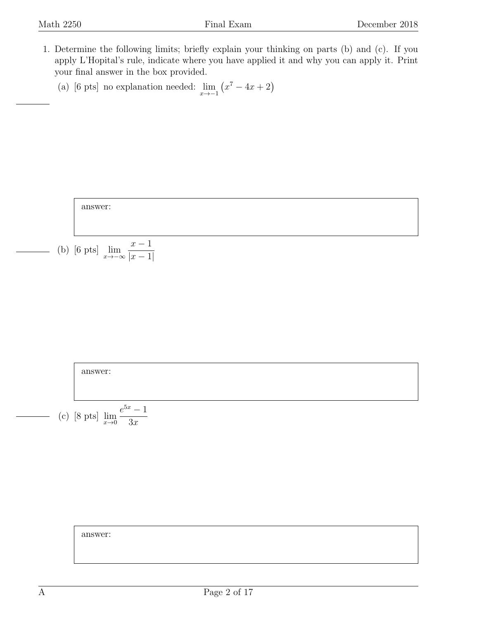- <span id="page-1-0"></span>1. Determine the following limits; briefly explain your thinking on parts (b) and (c). If you apply L'Hopital's rule, indicate where you have applied it and why you can apply it. Print your final answer in the box provided.
	- (a) [6 pts] no explanation needed:  $\lim_{x \to -1} (x^7 4x + 2)$





answer: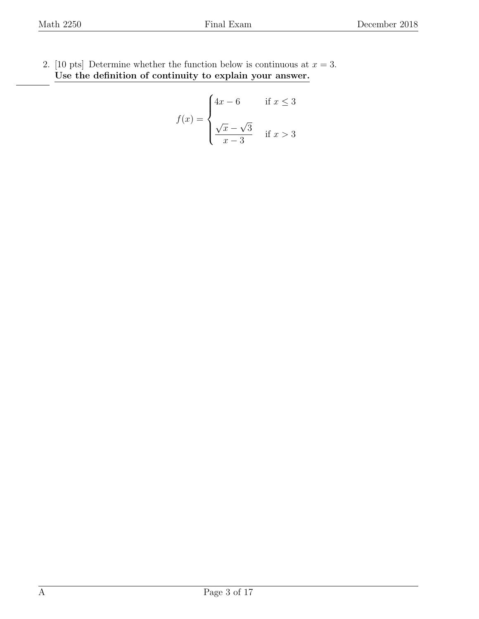<span id="page-2-0"></span>2. [10 pts] Determine whether the function below is continuous at  $x = 3$ . Use the definition of continuity to explain your answer.

$$
f(x) = \begin{cases} 4x - 6 & \text{if } x \le 3 \\ \frac{\sqrt{x} - \sqrt{3}}{x - 3} & \text{if } x > 3 \end{cases}
$$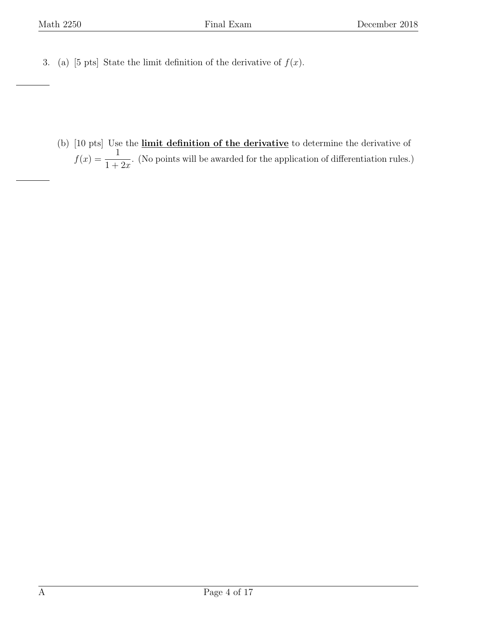<span id="page-3-0"></span>3. (a) [5 pts] State the limit definition of the derivative of  $f(x)$ .

(b) [10 pts] Use the limit definition of the derivative to determine the derivative of  $f(x) = \frac{1}{1+x^2}$  $1+2x$ . (No points will be awarded for the application of differentiation rules.)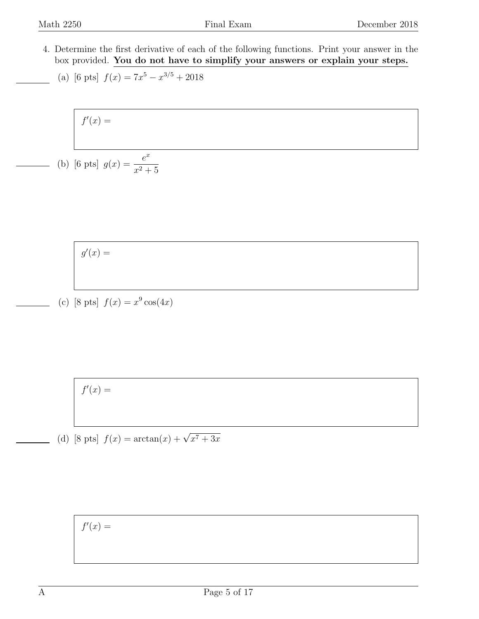$\sqrt{ }$ 

<span id="page-4-0"></span>4. Determine the first derivative of each of the following functions. Print your answer in the box provided. You do not have to simplify your answers or explain your steps.

(a) [6 pts] 
$$
f(x) = 7x^5 - x^{3/5} + 2018
$$

 $x^2 + 5$ 

$$
f'(x) =
$$
  
(b) [6 pts]  $g(x) = \frac{e^x}{e^x}$ 

$$
g'(x) =
$$

(c) [8 pts]  $f(x) = x^9 \cos(4x)$ 

 $f'(x) =$ 

(d) [8 pts]  $f(x) = \arctan(x) + \sqrt{x^7 + 3x}$ 

$$
f'(x) =
$$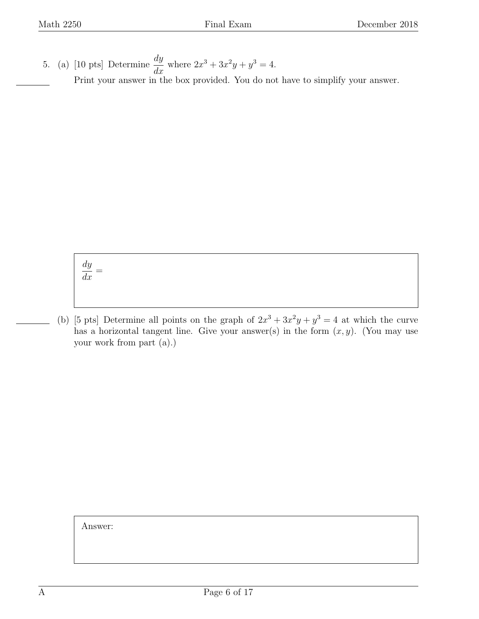<span id="page-5-0"></span>5. (a) [10 pts] Determine  $\frac{dy}{dx}$  $\frac{dy}{dx}$  where  $2x^3 + 3x^2y + y^3 = 4$ . Print your answer in the box provided. You do not have to simplify your answer.

> dy  $\frac{dy}{dx} =$

(b) [5 pts] Determine all points on the graph of  $2x^3 + 3x^2y + y^3 = 4$  at which the curve has a horizontal tangent line. Give your answer(s) in the form  $(x, y)$ . (You may use your work from part (a).)

Answer: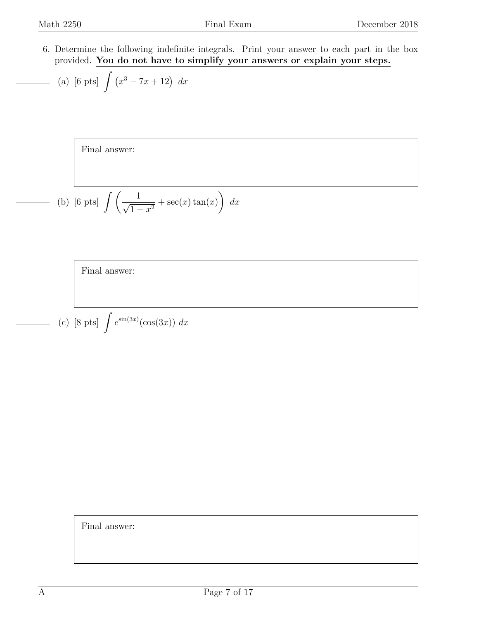<span id="page-6-0"></span>6. Determine the following indefinite integrals. Print your answer to each part in the box provided. You do not have to simplify your answers or explain your steps.

(a) [6 pts] 
$$
\int (x^3 - 7x + 12) dx
$$

Final answer:

(b) [6 pts] 
$$
\int \left( \frac{1}{\sqrt{1-x^2}} + \sec(x) \tan(x) \right) dx
$$

Final answer:

(c) [8 pts] 
$$
\int e^{\sin(3x)}(\cos(3x)) dx
$$

Final answer: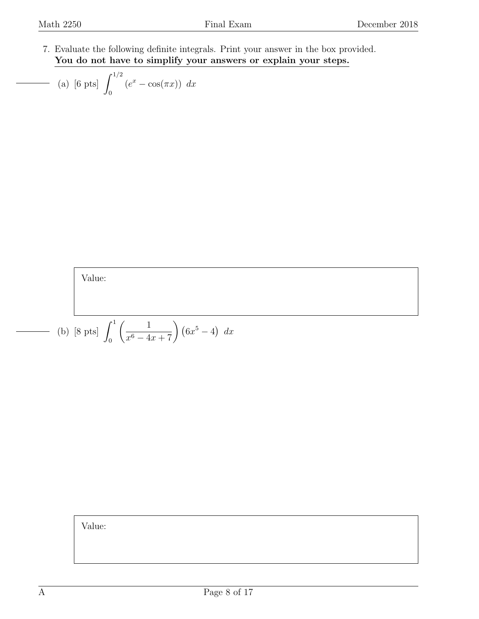<span id="page-7-0"></span>7. Evaluate the following definite integrals. Print your answer in the box provided. You do not have to simplify your answers or explain your steps.

(a) [6 pts] 
$$
\int_0^{1/2} (e^x - \cos(\pi x)) dx
$$

Value:

(b) [8 pts] 
$$
\int_0^1 \left( \frac{1}{x^6 - 4x + 7} \right) (6x^5 - 4) dx
$$

Value: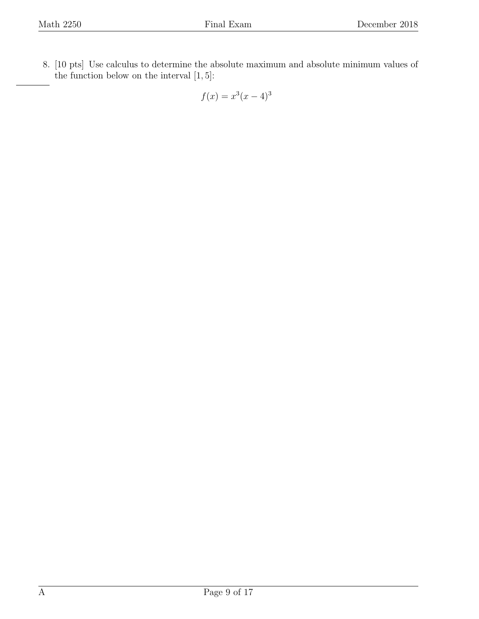<span id="page-8-0"></span>8. [10 pts] Use calculus to determine the absolute maximum and absolute minimum values of the function below on the interval  $[1, 5]$ :

$$
f(x) = x^3(x-4)^3
$$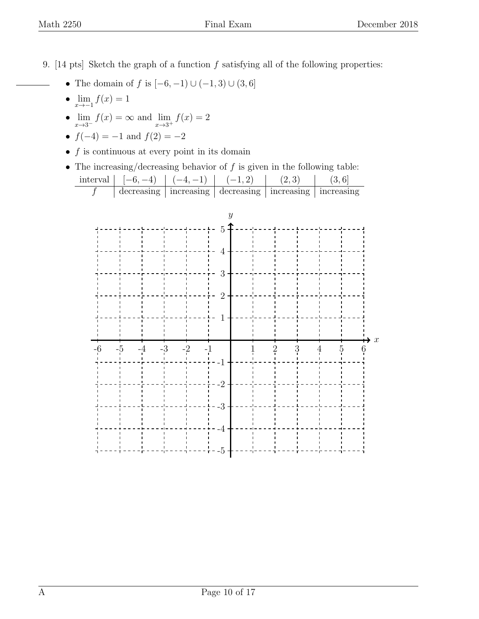<span id="page-9-0"></span>9. [14 pts] Sketch the graph of a function  $f$  satisfying all of the following properties:

- The domain of f is  $[-6, -1) \cup (-1, 3) \cup (3, 6]$
- $\lim_{x \to -1} f(x) = 1$
- $\lim_{x \to 3^{-}} f(x) = \infty$  and  $\lim_{x \to 3^{+}} f(x) = 2$
- $f(-4) = -1$  and  $f(2) = -2$
- $\bullet\,$   $f$  is continuous at every point in its domain
- The increasing/decreasing behavior of  $f$  is given in the following table:

| interval <sub>1</sub> | $[-6, -4)$ | $\cdots$ $(-4,-1)$ |                                                                         |  |
|-----------------------|------------|--------------------|-------------------------------------------------------------------------|--|
|                       |            |                    | $\alpha$ decreasing   increasing   decreasing   increasing   increasing |  |

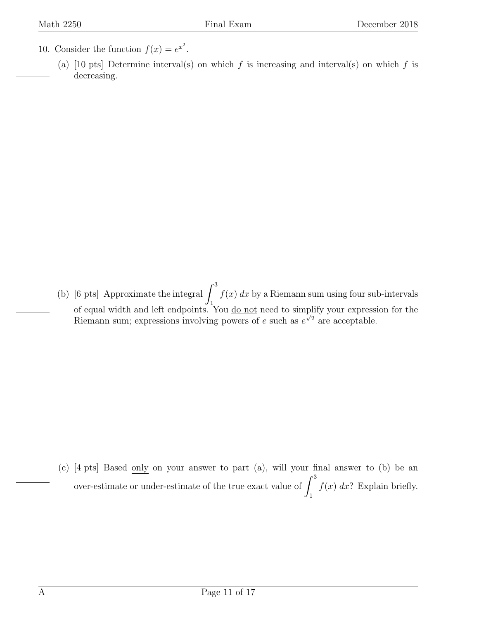- <span id="page-10-0"></span>10. Consider the function  $f(x) = e^{x^2}$ .
	- (a) [10 pts] Determine interval(s) on which f is increasing and interval(s) on which f is decreasing.

(b) [6 pts] Approximate the integral  $\int_3^3$ 1  $f(x) dx$  by a Riemann sum using four sub-intervals of equal width and left endpoints. You <u>do not</u> need to simplify your expression for the or equal width and left endpoints. For <u>do not</u> heed to simplify your express.<br>Riemann sum; expressions involving powers of e such as  $e^{\sqrt{2}}$  are acceptable.

(c) [4 pts] Based only on your answer to part (a), will your final answer to (b) be an over-estimate or under-estimate of the true exact value of  $\int_3^3$ 1  $f(x)$  dx? Explain briefly.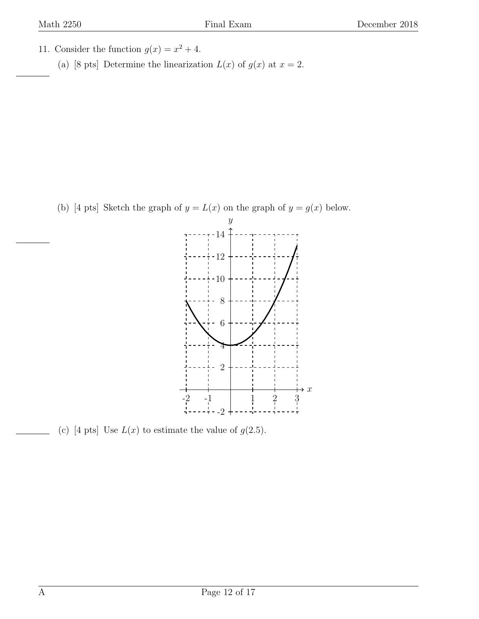- <span id="page-11-0"></span>11. Consider the function  $g(x) = x^2 + 4$ .
	- (a) [8 pts] Determine the linearization  $L(x)$  of  $g(x)$  at  $x = 2$ .

(b) [4 pts] Sketch the graph of  $y = L(x)$  on the graph of  $y = g(x)$  below.



(c) [4 pts] Use  $L(x)$  to estimate the value of  $g(2.5)$ .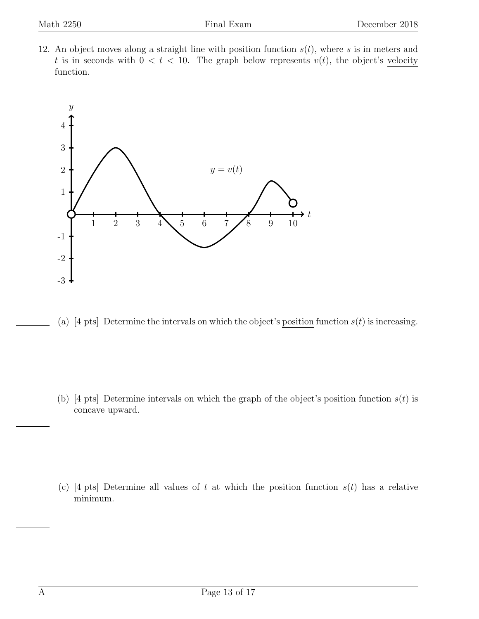<span id="page-12-0"></span>12. An object moves along a straight line with position function  $s(t)$ , where s is in meters and t is in seconds with  $0 < t < 10$ . The graph below represents  $v(t)$ , the object's velocity function.



(a) [4 pts] Determine the intervals on which the object's position function  $s(t)$  is increasing.

(b) [4 pts] Determine intervals on which the graph of the object's position function  $s(t)$  is concave upward.

(c) [4 pts] Determine all values of t at which the position function  $s(t)$  has a relative minimum.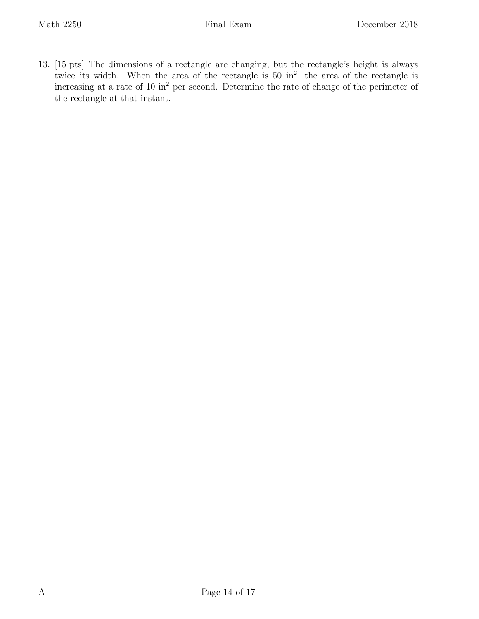<span id="page-13-0"></span>13. [15 pts] The dimensions of a rectangle are changing, but the rectangle's height is always twice its width. When the area of the rectangle is  $50 \text{ in}^2$ , the area of the rectangle is increasing at a rate of 10 in<sup>2</sup> per second. Determine the rate of change of the perimeter of the rectangle at that instant.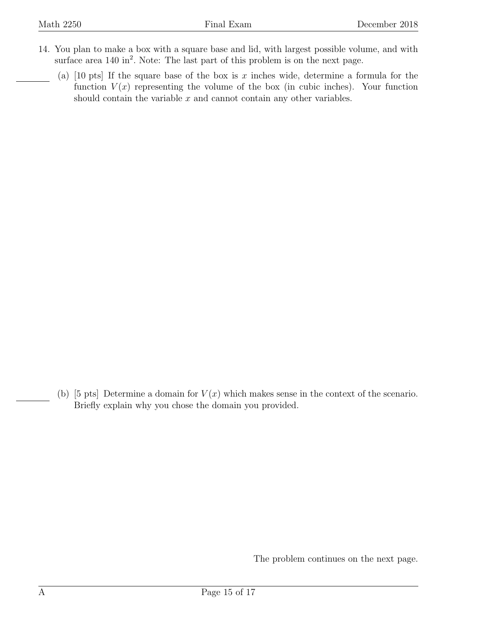- <span id="page-14-0"></span>14. You plan to make a box with a square base and lid, with largest possible volume, and with surface area  $140 \text{ in}^2$ . Note: The last part of this problem is on the next page.
	- (a) [10 pts] If the square base of the box is x inches wide, determine a formula for the function  $V(x)$  representing the volume of the box (in cubic inches). Your function should contain the variable  $x$  and cannot contain any other variables.

(b) [5 pts] Determine a domain for  $V(x)$  which makes sense in the context of the scenario. Briefly explain why you chose the domain you provided.

The problem continues on the next page.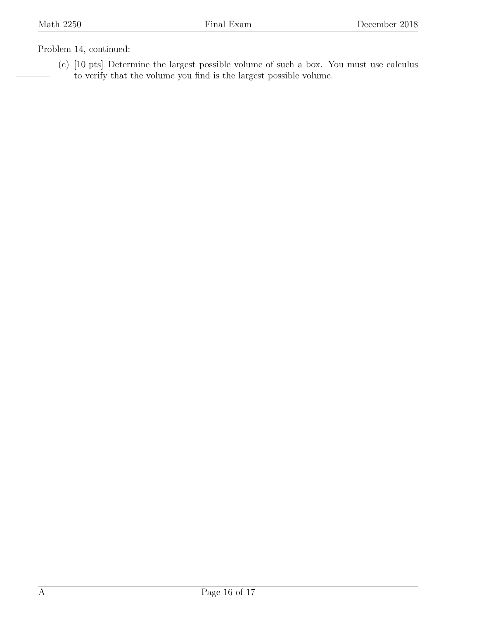## Problem 14, continued:

(c) [10 pts] Determine the largest possible volume of such a box. You must use calculus to verify that the volume you find is the largest possible volume.